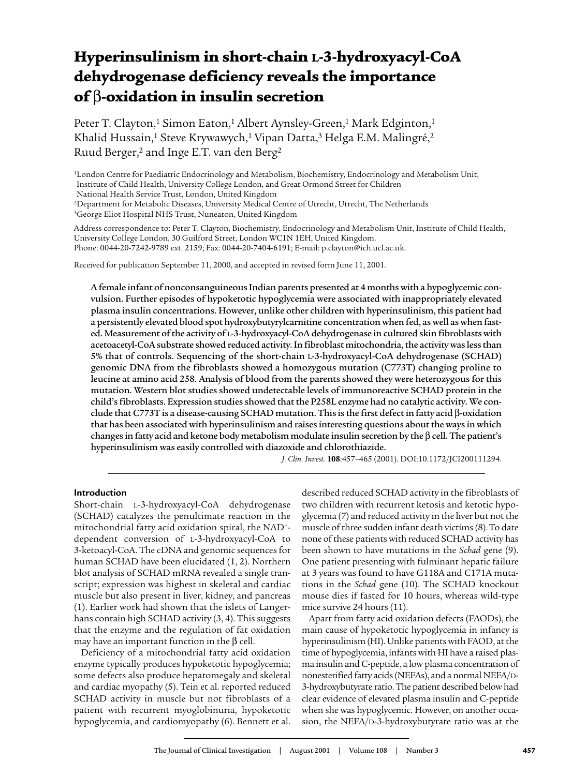# **Hyperinsulinism in short-chain L-3-hydroxyacyl-CoA dehydrogenase deficiency reveals the importance of** β**-oxidation in insulin secretion**

Peter T. Clayton,<sup>1</sup> Simon Eaton,<sup>1</sup> Albert Aynsley-Green,<sup>1</sup> Mark Edginton,<sup>1</sup> Khalid Hussain,<sup>1</sup> Steve Krywawych,<sup>1</sup> Vipan Datta,<sup>3</sup> Helga E.M. Malingré,<sup>2</sup> Ruud Berger,<sup>2</sup> and Inge E.T. van den Berg<sup>2</sup>

1London Centre for Paediatric Endocrinology and Metabolism, Biochemistry, Endocrinology and Metabolism Unit, Institute of Child Health, University College London, and Great Ormond Street for Children

National Health Service Trust, London, United Kingdom

2Department for Metabolic Diseases, University Medical Centre of Utrecht, Utrecht, The Netherlands

3George Eliot Hospital NHS Trust, Nuneaton, United Kingdom

Address correspondence to: Peter T. Clayton, Biochemistry, Endocrinology and Metabolism Unit, Institute of Child Health, University College London, 30 Guilford Street, London WC1N 1EH, United Kingdom. Phone: 0044-20-7242-9789 ext. 2159; Fax: 0044-20-7404-6191; E-mail: p.clayton@ich.ucl.ac.uk.

Received for publication September 11, 2000, and accepted in revised form June 11, 2001.

A female infant of nonconsanguineous Indian parents presented at 4 months with a hypoglycemic convulsion. Further episodes of hypoketotic hypoglycemia were associated with inappropriately elevated plasma insulin concentrations. However, unlike other children with hyperinsulinism, this patient had a persistently elevated blood spot hydroxybutyrylcarnitine concentration when fed, as well as when fasted. Measurement of the activity of L-3-hydroxyacyl-CoA dehydrogenase in cultured skin fibroblasts with acetoacetyl-CoA substrate showed reduced activity. In fibroblast mitochondria, the activity was less than 5% that of controls. Sequencing of the short-chain L-3-hydroxyacyl-CoA dehydrogenase (SCHAD) genomic DNA from the fibroblasts showed a homozygous mutation (C773T) changing proline to leucine at amino acid 258. Analysis of blood from the parents showed they were heterozygous for this mutation. Western blot studies showed undetectable levels of immunoreactive SCHAD protein in the child's fibroblasts. Expression studies showed that the P258L enzyme had no catalytic activity. We conclude that C773T is a disease-causing SCHAD mutation. This is the first defect in fatty acid β-oxidation that has been associated with hyperinsulinism and raises interesting questions about the ways in which changes in fatty acid and ketone body metabolism modulate insulin secretion by the β cell. The patient's hyperinsulinism was easily controlled with diazoxide and chlorothiazide.

*J. Clin. Invest.* **108**:457–465 (2001). DOI:10.1172/JCI200111294.

## **Introduction**

Short-chain L-3-hydroxyacyl-CoA dehydrogenase (SCHAD) catalyzes the penultimate reaction in the mitochondrial fatty acid oxidation spiral, the NAD+ dependent conversion of L-3-hydroxyacyl-CoA to 3-ketoacyl-CoA. The cDNA and genomic sequences for human SCHAD have been elucidated (1, 2). Northern blot analysis of SCHAD mRNA revealed a single transcript; expression was highest in skeletal and cardiac muscle but also present in liver, kidney, and pancreas (1). Earlier work had shown that the islets of Langerhans contain high SCHAD activity (3, 4). This suggests that the enzyme and the regulation of fat oxidation may have an important function in the  $β$  cell.

Deficiency of a mitochondrial fatty acid oxidation enzyme typically produces hypoketotic hypoglycemia; some defects also produce hepatomegaly and skeletal and cardiac myopathy (5). Tein et al. reported reduced SCHAD activity in muscle but not fibroblasts of a patient with recurrent myoglobinuria, hypoketotic hypoglycemia, and cardiomyopathy (6). Bennett et al.

described reduced SCHAD activity in the fibroblasts of two children with recurrent ketosis and ketotic hypoglycemia (7) and reduced activity in the liver but not the muscle of three sudden infant death victims (8).To date none of these patients with reduced SCHAD activity has been shown to have mutations in the *Schad* gene (9). One patient presenting with fulminant hepatic failure at 3 years was found to have G118A and C171A mutations in the *Schad* gene (10). The SCHAD knockout mouse dies if fasted for 10 hours, whereas wild-type mice survive 24 hours (11).

Apart from fatty acid oxidation defects (FAODs), the main cause of hypoketotic hypoglycemia in infancy is hyperinsulinism (HI). Unlike patients with FAOD, at the time of hypoglycemia, infants with HI have a raised plasma insulin and C-peptide, a low plasma concentration of nonesterified fatty acids (NEFAs), and a normal NEFA/D-3-hydroxybutyrate ratio. The patient described below had clear evidence of elevated plasma insulin and C-peptide when she was hypoglycemic. However, on another occasion, the NEFA/D-3-hydroxybutyrate ratio was at the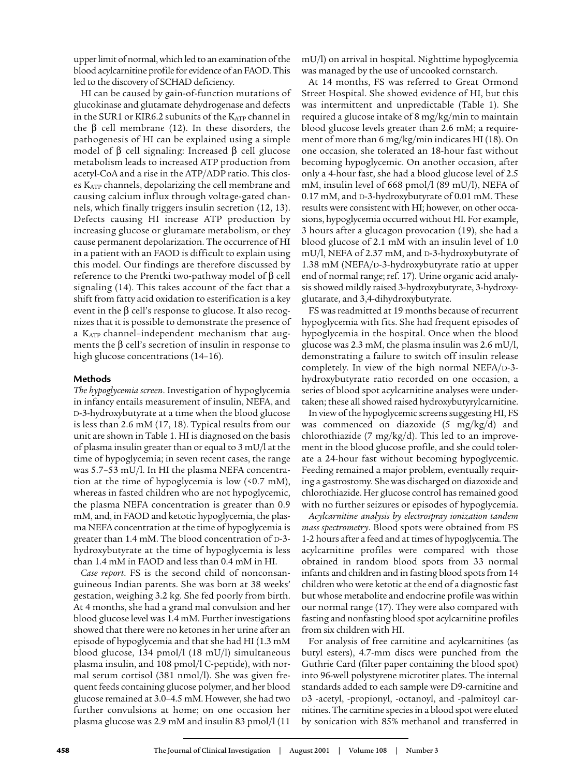upper limit of normal, which led to an examination of the blood acylcarnitine profile for evidence of an FAOD. This led to the discovery of SCHAD deficiency.

HI can be caused by gain-of-function mutations of glucokinase and glutamate dehydrogenase and defects in the SUR1 or KIR6.2 subunits of the KATP channel in the  $β$  cell membrane (12). In these disorders, the pathogenesis of HI can be explained using a simple model of  $β$  cell signaling: Increased  $β$  cell glucose metabolism leads to increased ATP production from acetyl-CoA and a rise in the ATP/ADP ratio. This closes KATP channels, depolarizing the cell membrane and causing calcium influx through voltage-gated channels, which finally triggers insulin secretion (12, 13). Defects causing HI increase ATP production by increasing glucose or glutamate metabolism, or they cause permanent depolarization. The occurrence of HI in a patient with an FAOD is difficult to explain using this model. Our findings are therefore discussed by reference to the Prentki two-pathway model of β cell signaling (14). This takes account of the fact that a shift from fatty acid oxidation to esterification is a key event in the β cell's response to glucose. It also recognizes that it is possible to demonstrate the presence of a KATP channel–independent mechanism that augments the  $\beta$  cell's secretion of insulin in response to high glucose concentrations (14–16).

# **Methods**

*The hypoglycemia screen*. Investigation of hypoglycemia in infancy entails measurement of insulin, NEFA, and D-3-hydroxybutyrate at a time when the blood glucose is less than 2.6 mM (17, 18). Typical results from our unit are shown in Table 1. HI is diagnosed on the basis of plasma insulin greater than or equal to 3 mU/l at the time of hypoglycemia; in seven recent cases, the range was 5.7–53 mU/l. In HI the plasma NEFA concentration at the time of hypoglycemia is low  $(50.7 \text{ mM})$ , whereas in fasted children who are not hypoglycemic, the plasma NEFA concentration is greater than 0.9 mM, and, in FAOD and ketotic hypoglycemia, the plasma NEFA concentration at the time of hypoglycemia is greater than 1.4 mM. The blood concentration of D-3 hydroxybutyrate at the time of hypoglycemia is less than 1.4 mM in FAOD and less than 0.4 mM in HI.

*Case report*. FS is the second child of nonconsanguineous Indian parents. She was born at 38 weeks' gestation, weighing 3.2 kg. She fed poorly from birth. At 4 months, she had a grand mal convulsion and her blood glucose level was 1.4 mM. Further investigations showed that there were no ketones in her urine after an episode of hypoglycemia and that she had HI (1.3 mM blood glucose, 134 pmol/l (18 mU/l) simultaneous plasma insulin, and 108 pmol/l C-peptide), with normal serum cortisol (381 nmol/l). She was given frequent feeds containing glucose polymer, and her blood glucose remained at 3.0–4.5 mM. However, she had two further convulsions at home; on one occasion her plasma glucose was 2.9 mM and insulin 83 pmol/l (11

mU/l) on arrival in hospital. Nighttime hypoglycemia was managed by the use of uncooked cornstarch.

At 14 months, FS was referred to Great Ormond Street Hospital. She showed evidence of HI, but this was intermittent and unpredictable (Table 1). She required a glucose intake of 8 mg/kg/min to maintain blood glucose levels greater than 2.6 mM; a requirement of more than 6 mg/kg/min indicates HI (18). On one occasion, she tolerated an 18-hour fast without becoming hypoglycemic. On another occasion, after only a 4-hour fast, she had a blood glucose level of 2.5 mM, insulin level of 668 pmol/l (89 mU/l), NEFA of 0.17 mM, and D-3-hydroxybutyrate of 0.01 mM. These results were consistent with HI; however, on other occasions, hypoglycemia occurred without HI. For example, 3 hours after a glucagon provocation (19), she had a blood glucose of 2.1 mM with an insulin level of 1.0 mU/l, NEFA of 2.37 mM, and D-3-hydroxybutyrate of 1.38 mM (NEFA/D-3-hydroxybutyrate ratio at upper end of normal range; ref. 17). Urine organic acid analysis showed mildly raised 3-hydroxybutyrate, 3-hydroxyglutarate, and 3,4-dihydroxybutyrate.

FS was readmitted at 19 months because of recurrent hypoglycemia with fits. She had frequent episodes of hypoglycemia in the hospital. Once when the blood glucose was 2.3 mM, the plasma insulin was 2.6 mU/l, demonstrating a failure to switch off insulin release completely. In view of the high normal NEFA/D-3 hydroxybutyrate ratio recorded on one occasion, a series of blood spot acylcarnitine analyses were undertaken; these all showed raised hydroxybutyrylcarnitine.

In view of the hypoglycemic screens suggesting HI, FS was commenced on diazoxide (5 mg/kg/d) and chlorothiazide (7 mg/kg/d). This led to an improvement in the blood glucose profile, and she could tolerate a 24-hour fast without becoming hypoglycemic. Feeding remained a major problem, eventually requiring a gastrostomy. She was discharged on diazoxide and chlorothiazide. Her glucose control has remained good with no further seizures or episodes of hypoglycemia.

*Acylcarnitine analysis by electrospray ionization tandem mass spectrometry*. Blood spots were obtained from FS 1-2 hours after a feed and at times of hypoglycemia. The acylcarnitine profiles were compared with those obtained in random blood spots from 33 normal infants and children and in fasting blood spots from 14 children who were ketotic at the end of a diagnostic fast but whose metabolite and endocrine profile was within our normal range (17). They were also compared with fasting and nonfasting blood spot acylcarnitine profiles from six children with HI.

For analysis of free carnitine and acylcarnitines (as butyl esters), 4.7-mm discs were punched from the Guthrie Card (filter paper containing the blood spot) into 96-well polystyrene microtiter plates. The internal standards added to each sample were D9-carnitine and D3 -acetyl, -propionyl, -octanoyl, and -palmitoyl carnitines. The carnitine species in a blood spot were eluted by sonication with 85% methanol and transferred in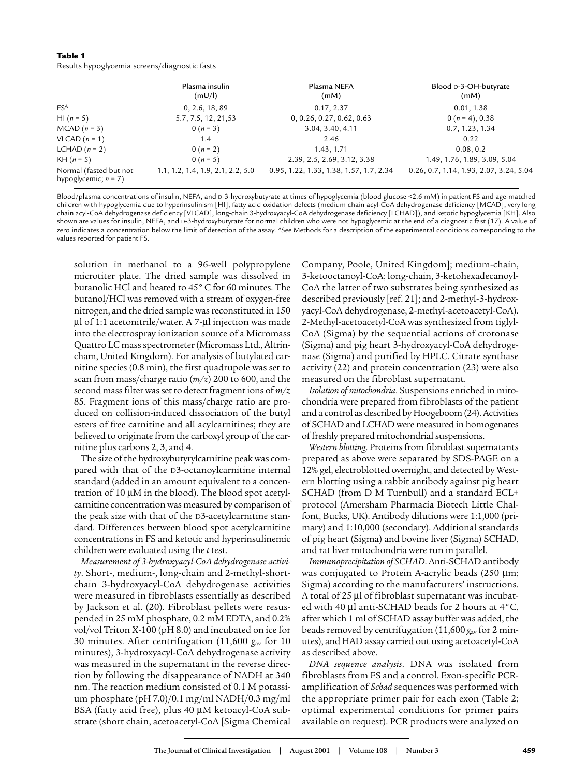# **Table 1** Results hypoglycemia screens/diagnostic fasts

|                                                   | Plasma insulin<br>(mU/I)          | Plasma NEFA<br>(mM)                     | Blood D-3-OH-butyrate<br>(mM)           |
|---------------------------------------------------|-----------------------------------|-----------------------------------------|-----------------------------------------|
| FS <sup>A</sup>                                   | 0, 2.6, 18, 89                    | 0.17, 2.37                              | 0.01, 1.38                              |
| HI $(n = 5)$                                      | 5.7, 7.5, 12, 21, 53              | 0, 0.26, 0.27, 0.62, 0.63               | 0 ( $n = 4$ ), 0.38                     |
| $MCAD (n = 3)$                                    | 0 ( $n = 3$ )                     | 3.04, 3.40, 4.11                        | 0.7, 1.23, 1.34                         |
| $VLCAD(n = 1)$                                    | 1.4                               | 2.46                                    | 0.22                                    |
| LCHAD $(n = 2)$                                   | $0(n = 2)$                        | 1.43, 1.71                              | 0.08, 0.2                               |
| KH $(n = 5)$                                      | 0 ( $n = 5$ )                     | 2.39, 2.5, 2.69, 3.12, 3.38             | 1.49, 1.76, 1.89, 3.09, 5.04            |
| Normal (fasted but not<br>hypoglycemic; $n = 7$ ) | 1.1, 1.2, 1.4, 1.9, 2.1, 2.2, 5.0 | 0.95, 1.22, 1.33, 1.38, 1.57, 1.7, 2.34 | 0.26, 0.7, 1.14, 1.93, 2.07, 3.24, 5.04 |

Blood/plasma concentrations of insulin, NEFA, and D-3-hydroxybutyrate at times of hypoglycemia (blood glucose <2.6 mM) in patient FS and age-matched children with hypoglycemia due to hyperinsulinism [HI], fatty acid oxidation defects (medium chain acyl-CoA dehydrogenase deficiency [MCAD], very long chain acyl-CoA dehydrogenase deficiency [VLCAD], long-chain 3-hydroxyacyl-CoA dehydrogenase deficiency [LCHAD]), and ketotic hypoglycemia [KH]. Also shown are values for insulin, NEFA, and D-3-hydroxybutyrate for normal children who were not hypoglycemic at the end of a diagnostic fast (17). A value of zero indicates a concentration below the limit of detection of the assay. <sup>A</sup>See Methods for a description of the experimental conditions corresponding to the values reported for patient FS.

solution in methanol to a 96-well polypropylene microtiter plate. The dried sample was dissolved in butanolic HCl and heated to 45° C for 60 minutes. The butanol/HCl was removed with a stream of oxygen-free nitrogen, and the dried sample was reconstituted in 150 µl of 1:1 acetonitrile/water. A 7-µl injection was made into the electrospray ionization source of a Micromass Quattro LC mass spectrometer (Micromass Ltd., Altrincham, United Kingdom). For analysis of butylated carnitine species (0.8 min), the first quadrupole was set to scan from mass/charge ratio (*m/z*) 200 to 600, and the second mass filter was set to detect fragment ions of *m/z* 85. Fragment ions of this mass/charge ratio are produced on collision-induced dissociation of the butyl esters of free carnitine and all acylcarnitines; they are believed to originate from the carboxyl group of the carnitine plus carbons 2, 3, and 4.

The size of the hydroxybutyrylcarnitine peak was compared with that of the D3-octanoylcarnitine internal standard (added in an amount equivalent to a concentration of 10 µM in the blood). The blood spot acetylcarnitine concentration was measured by comparison of the peak size with that of the D3-acetylcarnitine standard. Differences between blood spot acetylcarnitine concentrations in FS and ketotic and hyperinsulinemic children were evaluated using the *t* test.

*Measurement of 3-hydroxyacyl-CoA dehydrogenase activity*. Short-, medium-, long-chain and 2-methyl-shortchain 3-hydroxyacyl-CoA dehydrogenase activities were measured in fibroblasts essentially as described by Jackson et al. (20). Fibroblast pellets were resuspended in 25 mM phosphate, 0.2 mM EDTA, and 0.2% vol/vol Triton X-100 (pH 8.0) and incubated on ice for 30 minutes. After centrifugation (11,600 *g*av for 10 minutes), 3-hydroxyacyl-CoA dehydrogenase activity was measured in the supernatant in the reverse direction by following the disappearance of NADH at 340 nm. The reaction medium consisted of 0.1 M potassium phosphate (pH 7.0)/0.1 mg/ml NADH/0.3 mg/ml BSA (fatty acid free), plus 40 µM ketoacyl-CoA substrate (short chain, acetoacetyl-CoA [Sigma Chemical

Company, Poole, United Kingdom]; medium-chain, 3-ketooctanoyl-CoA; long-chain, 3-ketohexadecanoyl-CoA the latter of two substrates being synthesized as described previously [ref. 21]; and 2-methyl-3-hydroxyacyl-CoA dehydrogenase, 2-methyl-acetoacetyl-CoA). 2-Methyl-acetoacetyl-CoA was synthesized from tiglyl-CoA (Sigma) by the sequential actions of crotonase (Sigma) and pig heart 3-hydroxyacyl-CoA dehydrogenase (Sigma) and purified by HPLC. Citrate synthase activity (22) and protein concentration (23) were also measured on the fibroblast supernatant.

*Isolation of mitochondria*. Suspensions enriched in mitochondria were prepared from fibroblasts of the patient and a control as described by Hoogeboom (24). Activities of SCHAD and LCHAD were measured in homogenates of freshly prepared mitochondrial suspensions.

*Western blotting*. Proteins from fibroblast supernatants prepared as above were separated by SDS-PAGE on a 12% gel, electroblotted overnight, and detected by Western blotting using a rabbit antibody against pig heart SCHAD (from D M Turnbull) and a standard ECL+ protocol (Amersham Pharmacia Biotech Little Chalfont, Bucks, UK). Antibody dilutions were 1:1,000 (primary) and 1:10,000 (secondary). Additional standards of pig heart (Sigma) and bovine liver (Sigma) SCHAD, and rat liver mitochondria were run in parallel.

*Immunoprecipitation of SCHAD*. Anti-SCHAD antibody was conjugated to Protein A-acrylic beads (250 µm; Sigma) according to the manufacturers' instructions. A total of 25 µl of fibroblast supernatant was incubated with 40 µl anti-SCHAD beads for 2 hours at 4°C, after which 1 ml of SCHAD assay buffer was added, the beads removed by centrifugation (11,600 *g*av for 2 minutes), and HAD assay carried out using acetoacetyl-CoA as described above.

*DNA sequence analysis*. DNA was isolated from fibroblasts from FS and a control. Exon-specific PCRamplification of *Schad* sequences was performed with the appropriate primer pair for each exon (Table 2; optimal experimental conditions for primer pairs available on request). PCR products were analyzed on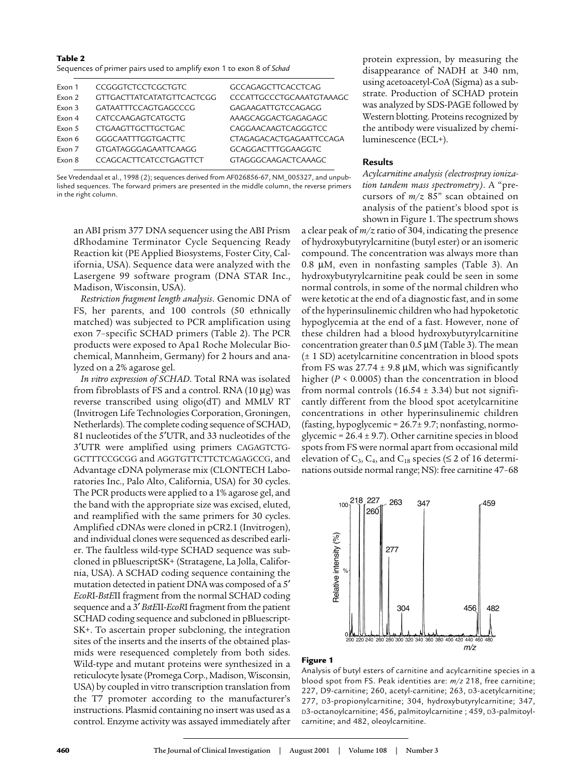#### **Table 2**

Sequences of primer pairs used to amplify exon 1 to exon 8 of *Schad*

| Exon 1 | CCGGGTCTCCTCGCTGTC        | <b>GCCAGAGCTTCACCTCAG</b>  |
|--------|---------------------------|----------------------------|
| Exon 2 | GTTGACTTATCATATGTTCACTCGG | CCCATTGCCCTGCAAATGTAAAGC   |
| Exon 3 | GATAATTTCCAGTGAGCCCG      | GAGAAGATTGTCCAGAGG         |
| Exon 4 | CATCCAAGAGTCATGCTG        | AAAGCAGGACTGAGAGAGC        |
| Exon 5 | CTGAAGTTGCTTGCTGAC        | CAGGAACAAGTCAGGGTCC        |
| Exon 6 | GGGCAATTTGGTGACTTC        | CTAGAGACACTGAGAATTCCAGA    |
| Exon 7 | GTGATAGGGAGAATTCAAGG      | <b>GCAGGACTTTGGAAGGTC</b>  |
| Fxon 8 | CCAGCACTTCATCCTGAGTTCT    | <b>GTAGGGCAAGACTCAAAGC</b> |
|        |                           |                            |

See Vredendaal et al., 1998 (2); sequences derived from AF026856-67, NM\_005327, and unpublished sequences. The forward primers are presented in the middle column, the reverse primers in the right column.

an ABI prism 377 DNA sequencer using the ABI Prism dRhodamine Terminator Cycle Sequencing Ready Reaction kit (PE Applied Biosystems, Foster City, California, USA). Sequence data were analyzed with the Lasergene 99 software program (DNA STAR Inc., Madison, Wisconsin, USA).

*Restriction fragment length analysis*. Genomic DNA of FS, her parents, and 100 controls (50 ethnically matched) was subjected to PCR amplification using exon 7–specific SCHAD primers (Table 2). The PCR products were exposed to Apa1 Roche Molecular Biochemical, Mannheim, Germany) for 2 hours and analyzed on a 2% agarose gel.

*In vitro expression of SCHAD*. Total RNA was isolated from fibroblasts of FS and a control. RNA  $(10 \mu g)$  was reverse transcribed using oligo(dT) and MMLV RT (Invitrogen Life Technologies Corporation, Groningen, Netherlards). The complete coding sequence of SCHAD, 81 nucleotides of the 5′UTR, and 33 nucleotides of the 3′UTR were amplified using primers CAGAGTCTG-GCTTTCCGCGG and AGGTGTTCTTCTCAGAGCCG, and Advantage cDNA polymerase mix (CLONTECH Laboratories Inc., Palo Alto, California, USA) for 30 cycles. The PCR products were applied to a 1% agarose gel, and the band with the appropriate size was excised, eluted, and reamplified with the same primers for 30 cycles. Amplified cDNAs were cloned in pCR2.1 (Invitrogen), and individual clones were sequenced as described earlier. The faultless wild-type SCHAD sequence was subcloned in pBluescriptSK+ (Stratagene, La Jolla, California, USA). A SCHAD coding sequence containing the mutation detected in patient DNA was composed of a 5′ *EcoR*I-*BstE*II fragment from the normal SCHAD coding sequence and a 3′ *BstE*II-*EcoR*I fragment from the patient SCHAD coding sequence and subcloned in pBluescript-SK+. To ascertain proper subcloning, the integration sites of the inserts and the inserts of the obtained plasmids were resequenced completely from both sides. Wild-type and mutant proteins were synthesized in a reticulocyte lysate (Promega Corp., Madison, Wisconsin, USA) by coupled in vitro transcription translation from the T7 promoter according to the manufacturer's instructions. Plasmid containing no insert was used as a control. Enzyme activity was assayed immediately after

protein expression, by measuring the disappearance of NADH at 340 nm, using acetoacetyl-CoA (Sigma) as a substrate. Production of SCHAD protein was analyzed by SDS-PAGE followed by Western blotting. Proteins recognized by the antibody were visualized by chemiluminescence (ECL+).

#### **Results**

*Acylcarnitine analysis (electrospray ionization tandem mass spectrometry)*. A "precursors of *m/z* 85" scan obtained on analysis of the patient's blood spot is shown in Figure 1. The spectrum shows

a clear peak of *m/z* ratio of 304, indicating the presence of hydroxybutyrylcarnitine (butyl ester) or an isomeric compound. The concentration was always more than 0.8 µM, even in nonfasting samples (Table 3). An hydroxybutyrylcarnitine peak could be seen in some normal controls, in some of the normal children who were ketotic at the end of a diagnostic fast, and in some of the hyperinsulinemic children who had hypoketotic hypoglycemia at the end of a fast. However, none of these children had a blood hydroxybutyrylcarnitine concentration greater than  $0.5 \mu$ M (Table 3). The mean (± 1 SD) acetylcarnitine concentration in blood spots from FS was  $27.74 \pm 9.8 \mu M$ , which was significantly higher (*P* < 0.0005) than the concentration in blood from normal controls (16.54  $\pm$  3.34) but not significantly different from the blood spot acetylcarnitine concentrations in other hyperinsulinemic children (fasting, hypoglycemic =  $26.7 \pm 9.7$ ; nonfasting, normoglycemic =  $26.4 \pm 9.7$ ). Other carnitine species in blood spots from FS were normal apart from occasional mild elevation of  $C_3$ ,  $C_4$ , and  $C_{18}$  species ( $\leq 2$  of 16 determinations outside normal range; NS): free carnitine 47–68



## **Figure 1**

Analysis of butyl esters of carnitine and acylcarnitine species in a blood spot from FS. Peak identities are: *m/z* 218, free carnitine; 227, D9-carnitine; 260, acetyl-carnitine; 263, D3-acetylcarnitine; 277, D3-propionylcarnitine; 304, hydroxybutyrylcarnitine; 347, D3-octanoylcarnitine; 456, palmitoylcarnitine ; 459, D3-palmitoylcarnitine; and 482, oleoylcarnitine.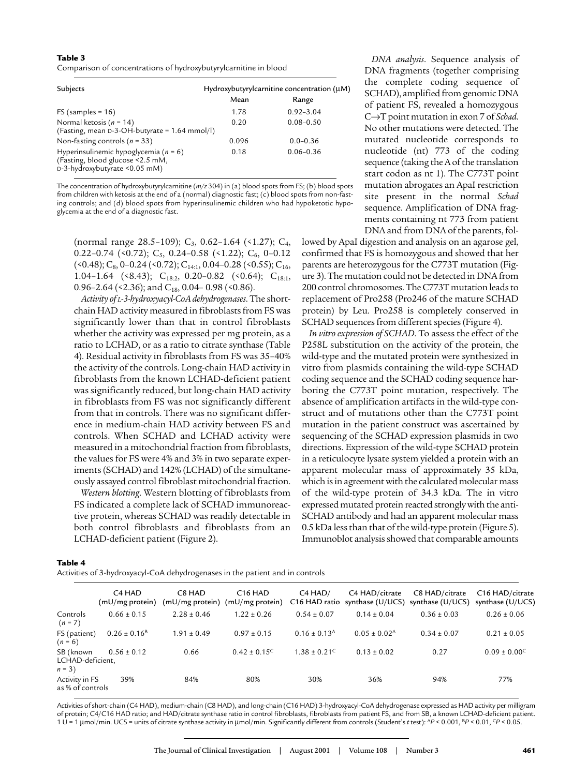#### **Table 3**

Comparison of concentrations of hydroxybutyrylcarnitine in blood

| Subjects                                                                                                        | Hydroxybutyrylcarnitine concentration (uM) |               |  |
|-----------------------------------------------------------------------------------------------------------------|--------------------------------------------|---------------|--|
|                                                                                                                 | Mean                                       | Range         |  |
| $FS$ (samples = 16)                                                                                             | 1.78                                       | $0.92 - 3.04$ |  |
| Normal ketosis ( $n = 14$ )<br>(Fasting, mean D-3-OH-butyrate = 1.64 mmol/l)                                    | 0.20                                       | $0.08 - 0.50$ |  |
| Non-fasting controls ( $n = 33$ )                                                                               | 0.096                                      | $0.0 - 0.36$  |  |
| Hyperinsulinemic hypoglycemia ( $n = 6$ )<br>(Fasting, blood glucose <2.5 mM,<br>D-3-hydroxybutyrate < 0.05 mM) | 0.18                                       | $0.06 - 0.36$ |  |

The concentration of hydroxybutyrylcarnitine (*m/z* 304) in (a) blood spots from FS; (b) blood spots from children with ketosis at the end of a (normal) diagnostic fast; (c) blood spots from non-fasting controls; and (d) blood spots from hyperinsulinemic children who had hypoketotic hypoglycemia at the end of a diagnostic fast.

(normal range 28.5–109); C<sub>3</sub>, 0.62–1.64  $($ <1.27); C<sub>4</sub>, 0.22–0.74 (<0.72); C<sub>5</sub>, 0.24–0.58 (<1.22); C<sub>6</sub>, 0–0.12  $(50.48)$ ; C<sub>8</sub>, 0-0.24 ( $50.72$ ); C<sub>14:1</sub>, 0.04-0.28 ( $55$ ); C<sub>16</sub>, 1.04–1.64 (<8.43);  $C_{18:2}$ , 0.20–0.82 (<0.64);  $C_{18:1}$ , 0.96–2.64 (<2.36); and C<sub>18</sub>, 0.04–0.98 (<0.86).

*Activity of L-3-hydroxyacyl-CoA dehydrogenases*. The shortchain HAD activity measured in fibroblasts from FS was significantly lower than that in control fibroblasts whether the activity was expressed per mg protein, as a ratio to LCHAD, or as a ratio to citrate synthase (Table 4). Residual activity in fibroblasts from FS was 35–40% the activity of the controls. Long-chain HAD activity in fibroblasts from the known LCHAD-deficient patient was significantly reduced, but long-chain HAD activity in fibroblasts from FS was not significantly different from that in controls. There was no significant difference in medium-chain HAD activity between FS and controls. When SCHAD and LCHAD activity were measured in a mitochondrial fraction from fibroblasts, the values for FS were 4% and 3% in two separate experiments (SCHAD) and 142% (LCHAD) of the simultaneously assayed control fibroblast mitochondrial fraction.

*Western blotting*. Western blotting of fibroblasts from FS indicated a complete lack of SCHAD immunoreactive protein, whereas SCHAD was readily detectable in both control fibroblasts and fibroblasts from an LCHAD-deficient patient (Figure 2).

*DNA analysis*. Sequence analysis of DNA fragments (together comprising the complete coding sequence of SCHAD), amplified from genomic DNA of patient FS, revealed a homozygous C→T point mutation in exon 7 of *Schad*. No other mutations were detected. The mutated nucleotide corresponds to nucleotide (nt) 773 of the coding sequence (taking the A of the translation start codon as nt 1). The C773T point mutation abrogates an ApaI restriction site present in the normal *Schad* sequence. Amplification of DNA fragments containing nt 773 from patient DNA and from DNA of the parents, fol-

lowed by ApaI digestion and analysis on an agarose gel, confirmed that FS is homozygous and showed that her parents are heterozygous for the C773T mutation (Figure 3). The mutation could not be detected in DNA from 200 control chromosomes. The C773T mutation leads to replacement of Pro258 (Pro246 of the mature SCHAD protein) by Leu. Pro258 is completely conserved in SCHAD sequences from different species (Figure 4).

*In vitro expression of SCHAD*. To assess the effect of the P258L substitution on the activity of the protein, the wild-type and the mutated protein were synthesized in vitro from plasmids containing the wild-type SCHAD coding sequence and the SCHAD coding sequence harboring the C773T point mutation, respectively. The absence of amplification artifacts in the wild-type construct and of mutations other than the C773T point mutation in the patient construct was ascertained by sequencing of the SCHAD expression plasmids in two directions. Expression of the wild-type SCHAD protein in a reticulocyte lysate system yielded a protein with an apparent molecular mass of approximately 35 kDa, which is in agreement with the calculated molecular mass of the wild-type protein of 34.3 kDa. The in vitro expressed mutated protein reacted strongly with the anti-SCHAD antibody and had an apparent molecular mass 0.5 kDa less than that of the wild-type protein (Figure 5). Immunoblot analysis showed that comparable amounts

#### **Table 4**

Activities of 3-hydroxyacyl-CoA dehydrogenases in the patient and in controls

|                                          | C <sub>4</sub> H <sub>AD</sub><br>(mU/mg protein) | C8 HAD<br>(mU/mg protein) | C <sub>16</sub> H <sub>AD</sub><br>$(mU/mg)$ protein) | $C4$ HAD/                    | C4 HAD/citrate<br>$C16$ HAD ratio synthase (U/UCS) | C8 HAD/citrate<br>synthase (U/UCS) | C <sub>16</sub> HAD/citrate<br>synthase (U/UCS) |
|------------------------------------------|---------------------------------------------------|---------------------------|-------------------------------------------------------|------------------------------|----------------------------------------------------|------------------------------------|-------------------------------------------------|
| Controls<br>$(n = 7)$                    | $0.66 \pm 0.15$                                   | $2.28 \pm 0.46$           | $1.22 \pm 0.26$                                       | $0.54 \pm 0.07$              | $0.14 \pm 0.04$                                    | $0.36 \pm 0.03$                    | $0.26 \pm 0.06$                                 |
| FS (patient)<br>$(n = 6)$                | $0.26 \pm 0.16^8$                                 | $1.91 \pm 0.49$           | $0.97 \pm 0.15$                                       | $0.16 \pm 0.13$ <sup>A</sup> | $0.05 \pm 0.02$ <sup>A</sup>                       | $0.34 \pm 0.07$                    | $0.21 \pm 0.05$                                 |
| SB (known<br>LCHAD-deficient,<br>$n = 3$ | $0.56 \pm 0.12$                                   | 0.66                      | $0.42 \pm 0.15^{\circ}$                               | $1.38 \pm 0.21^{\circ}$      | $0.13 \pm 0.02$                                    | 0.27                               | $0.09 \pm 0.00^{\circ}$                         |
| Activity in FS<br>as % of controls       | 39%                                               | 84%                       | 80%                                                   | 30%                          | 36%                                                | 94%                                | 77%                                             |

Activities of short-chain (C4 HAD), medium-chain (C8 HAD), and long-chain (C16 HAD) 3-hydroxyacyl-CoA dehydrogenase expressed as HAD activity per milligram of protein; C4/C16 HAD ratio; and HAD/citrate synthase ratio in control fibroblasts, fibroblasts from patient FS, and from SB, a known LCHAD-deficient patient. 1 U = 1 µmol/min. UCS = units of citrate synthase activity in µmol/min. Significantly different from controls (Student's *t* test): A*P* < 0.001, B*P* < 0.01, C*P* < 0.05.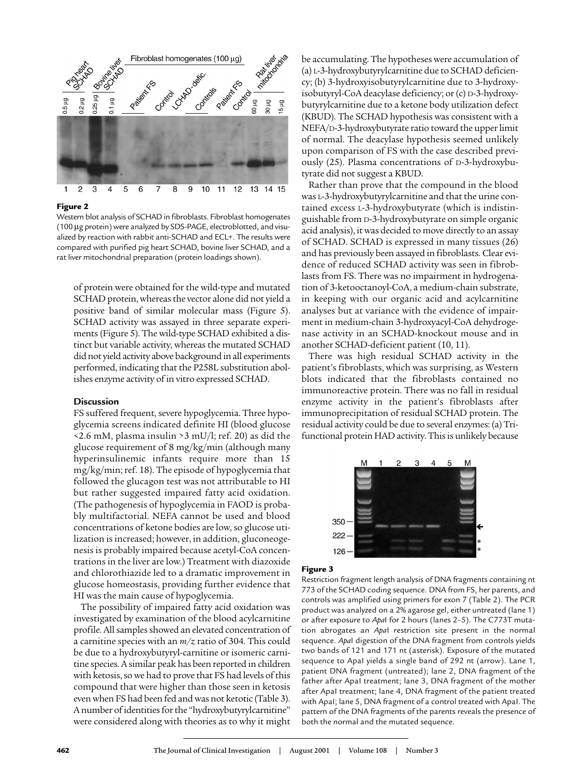

## **Figure 2**

Western blot analysis of SCHAD in fibroblasts. Fibroblast homogenates (100 µg protein) were analyzed by SDS-PAGE, electroblotted, and visualized by reaction with rabbit anti-SCHAD and ECL+. The results were compared with purified pig heart SCHAD, bovine liver SCHAD, and a rat liver mitochondrial preparation (protein loadings shown).

of protein were obtained for the wild-type and mutated SCHAD protein, whereas the vector alone did not yield a positive band of similar molecular mass (Figure 5). SCHAD activity was assayed in three separate experiments (Figure 5). The wild-type SCHAD exhibited a distinct but variable activity, whereas the mutated SCHAD did not yield activity above background in all experiments performed, indicating that the P258L substitution abolishes enzyme activity of in vitro expressed SCHAD.

# **Discussion**

FS suffered frequent, severe hypoglycemia. Three hypoglycemia screens indicated definite HI (blood glucose <2.6 mM, plasma insulin >3 mU/l; ref. 20) as did the glucose requirement of 8 mg/kg/min (although many hyperinsulinemic infants require more than 15 mg/kg/min; ref. 18). The episode of hypoglycemia that followed the glucagon test was not attributable to HI but rather suggested impaired fatty acid oxidation. (The pathogenesis of hypoglycemia in FAOD is probably multifactorial. NEFA cannot be used and blood concentrations of ketone bodies are low, so glucose utilization is increased; however, in addition, gluconeogenesis is probably impaired because acetyl-CoA concentrations in the liver are low.) Treatment with diazoxide and chlorothiazide led to a dramatic improvement in glucose homeostasis, providing further evidence that HI was the main cause of hypoglycemia.

The possibility of impaired fatty acid oxidation was investigated by examination of the blood acylcarnitine profile. All samples showed an elevated concentration of a carnitine species with an *m/z* ratio of 304. This could be due to a hydroxybutyryl-carnitine or isomeric carnitine species. A similar peak has been reported in children with ketosis, so we had to prove that FS had levels of this compound that were higher than those seen in ketosis even when FS had been fed and was not ketotic (Table 3). A number of identities for the "hydroxybutyrylcarnitine" were considered along with theories as to why it might

be accumulating. The hypotheses were accumulation of (a) L-3-hydroxybutyrylcarnitine due to SCHAD deficiency; (b) 3-hydroxyisobutyrylcarnitine due to 3-hydroxyisobutyryl-CoA deacylase deficiency; or (c) D-3-hydroxybutyrylcarnitine due to a ketone body utilization defect (KBUD). The SCHAD hypothesis was consistent with a NEFA/D-3-hydroxybutyrate ratio toward the upper limit of normal. The deacylase hypothesis seemed unlikely upon comparison of FS with the case described previously (25). Plasma concentrations of D-3-hydroxybutyrate did not suggest a KBUD.

Rather than prove that the compound in the blood was L-3-hydroxybutyrylcarnitine and that the urine contained excess L-3-hydroxybutyrate (which is indistinguishable from D-3-hydroxybutyrate on simple organic acid analysis), it was decided to move directly to an assay of SCHAD. SCHAD is expressed in many tissues (26) and has previously been assayed in fibroblasts. Clear evidence of reduced SCHAD activity was seen in fibroblasts from FS. There was no impairment in hydrogenation of 3-ketooctanoyl-CoA, a medium-chain substrate, in keeping with our organic acid and acylcarnitine analyses but at variance with the evidence of impairment in medium-chain 3-hydroxyacyl-CoA dehydrogenase activity in an SCHAD-knockout mouse and in another SCHAD-deficient patient (10, 11).

There was high residual SCHAD activity in the patient's fibroblasts, which was surprising, as Western blots indicated that the fibroblasts contained no immunoreactive protein. There was no fall in residual enzyme activity in the patient's fibroblasts after immunoprecipitation of residual SCHAD protein. The residual activity could be due to several enzymes: (a) Trifunctional protein HAD activity. This is unlikely because



# **Figure 3**

Restriction fragment length analysis of DNA fragments containing nt 773 of the SCHAD coding sequence. DNA from FS, her parents, and controls was amplified using primers for exon 7 (Table 2). The PCR product was analyzed on a 2% agarose gel, either untreated (lane 1) or after exposure to *Apa*I for 2 hours (lanes 2–5). The C773T mutation abrogates an *Apa*I restriction site present in the normal sequence. *Apa*I digestion of the DNA fragment from controls yields two bands of 121 and 171 nt (asterisk). Exposure of the mutated sequence to ApaI yields a single band of 292 nt (arrow). Lane 1, patient DNA fragment (untreated); lane 2, DNA fragment of the father after ApaI treatment; lane 3, DNA fragment of the mother after ApaI treatment; lane 4, DNA fragment of the patient treated with ApaI; lane 5, DNA fragment of a control treated with ApaI. The pattern of the DNA fragments of the parents reveals the presence of both the normal and the mutated sequence.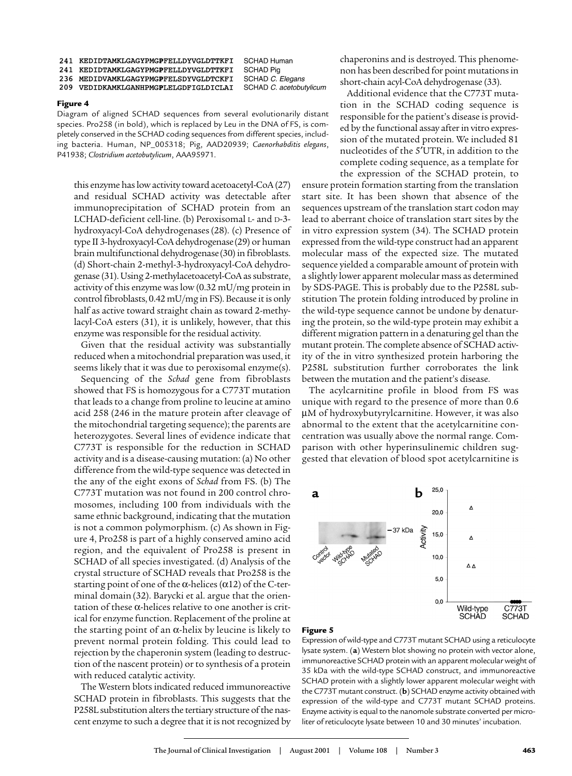| 241 KEDIDTAMKLGAGYPMGPFELLDYVGLDTTKFI | SCHAD Human             |
|---------------------------------------|-------------------------|
| 241 KEDIDTAMKLGAGYPMGPFELLDYVGLDTTKFI | SCHAD Pia               |
| 236 MEDIDVAMKLGAGYPMGPFELSDYVGLDTCKFI | SCHAD C. Elegans        |
| 209 VEDIDKAMKLGANHPMGPLELGDFIGLDICLAI | SCHAD C. acetobutvlicum |

**Figure 4**

Diagram of aligned SCHAD sequences from several evolutionarily distant species. Pro258 (in bold), which is replaced by Leu in the DNA of FS, is completely conserved in the SCHAD coding sequences from different species, including bacteria. Human, NP\_005318; Pig, AAD20939; *Caenorhabditis elegans*, P41938; *Clostridium acetobutylicum*, AAA95971.

this enzyme has low activity toward acetoacetyl-CoA (27) and residual SCHAD activity was detectable after immunoprecipitation of SCHAD protein from an LCHAD-deficient cell-line. (b) Peroxisomal L- and D-3 hydroxyacyl-CoA dehydrogenases (28). (c) Presence of type II 3-hydroxyacyl-CoA dehydrogenase(29) or human brain multifunctional dehydrogenase(30) in fibroblasts. (d) Short-chain 2-methyl-3-hydroxyacyl-CoA dehydrogenase (31). Using 2-methylacetoacetyl-CoA as substrate, activity of this enzyme was low (0.32 mU/mg protein in control fibroblasts, 0.42 mU/mg in FS). Because it is only half as active toward straight chain as toward 2-methylacyl-CoA esters (31), it is unlikely, however, that this enzyme was responsible for the residual activity.

Given that the residual activity was substantially reduced when a mitochondrial preparation was used, it seems likely that it was due to peroxisomal enzyme(s).

Sequencing of the *Schad* gene from fibroblasts showed that FS is homozygous for a C773T mutation that leads to a change from proline to leucine at amino acid 258 (246 in the mature protein after cleavage of the mitochondrial targeting sequence); the parents are heterozygotes. Several lines of evidence indicate that C773T is responsible for the reduction in SCHAD activity and is a disease-causing mutation: (a) No other difference from the wild-type sequence was detected in the any of the eight exons of *Schad* from FS. (b) The C773T mutation was not found in 200 control chromosomes, including 100 from individuals with the same ethnic background, indicating that the mutation is not a common polymorphism. (c) As shown in Figure 4, Pro258 is part of a highly conserved amino acid region, and the equivalent of Pro258 is present in SCHAD of all species investigated. (d) Analysis of the crystal structure of SCHAD reveals that Pro258 is the starting point of one of the  $\alpha$ -helices ( $\alpha$ 12) of the C-terminal domain (32). Barycki et al. argue that the orientation of these α-helices relative to one another is critical for enzyme function. Replacement of the proline at the starting point of an α-helix by leucine is likely to prevent normal protein folding. This could lead to rejection by the chaperonin system (leading to destruction of the nascent protein) or to synthesis of a protein with reduced catalytic activity.

The Western blots indicated reduced immunoreactive SCHAD protein in fibroblasts. This suggests that the P258L substitution alters the tertiary structure of the nascent enzyme to such a degree that it is not recognized by

chaperonins and is destroyed. This phenomenon has been described for point mutations in short-chain acyl-CoA dehydrogenase (33).

Additional evidence that the C773T mutation in the SCHAD coding sequence is responsible for the patient's disease is provided by the functional assay after in vitro expression of the mutated protein. We included 81 nucleotides of the 5′UTR, in addition to the complete coding sequence, as a template for the expression of the SCHAD protein, to

ensure protein formation starting from the translation start site. It has been shown that absence of the sequences upstream of the translation start codon may lead to aberrant choice of translation start sites by the in vitro expression system (34). The SCHAD protein expressed from the wild-type construct had an apparent molecular mass of the expected size. The mutated sequence yielded a comparable amount of protein with a slightly lower apparent molecular mass as determined by SDS-PAGE. This is probably due to the P258L substitution The protein folding introduced by proline in the wild-type sequence cannot be undone by denaturing the protein, so the wild-type protein may exhibit a different migration pattern in a denaturing gel than the mutant protein. The complete absence of SCHAD activity of the in vitro synthesized protein harboring the P258L substitution further corroborates the link between the mutation and the patient's disease.

The acylcarnitine profile in blood from FS was unique with regard to the presence of more than 0.6 µM of hydroxybutyrylcarnitine. However, it was also abnormal to the extent that the acetylcarnitine concentration was usually above the normal range. Comparison with other hyperinsulinemic children suggested that elevation of blood spot acetylcarnitine is



## **Figure 5**

Expression of wild-type and C773T mutant SCHAD using a reticulocyte lysate system. (**a**) Western blot showing no protein with vector alone, immunoreactive SCHAD protein with an apparent molecular weight of 35 kDa with the wild-type SCHAD construct, and immunoreactive SCHAD protein with a slightly lower apparent molecular weight with the C773T mutant construct. (**b**) SCHAD enzyme activity obtained with expression of the wild-type and C773T mutant SCHAD proteins. Enzyme activity is equal to the nanomole substrate converted per microliter of reticulocyte lysate between 10 and 30 minutes' incubation.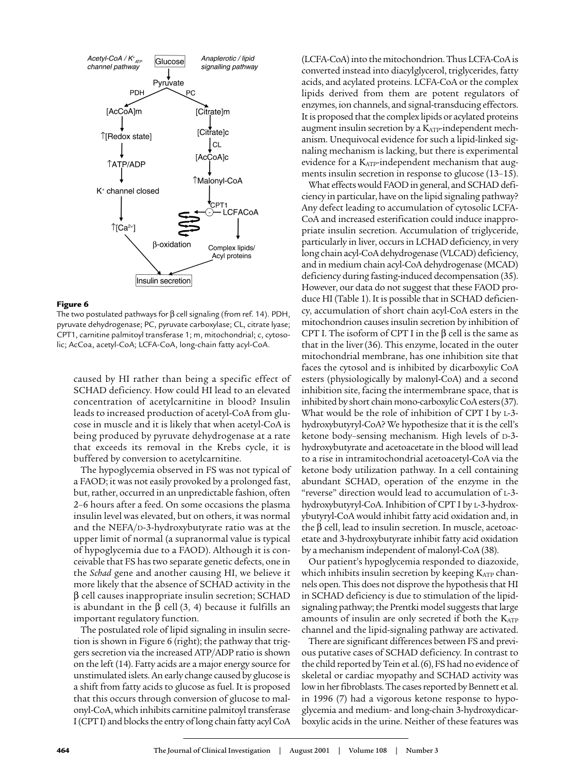

## **Figure 6**

The two postulated pathways for  $β$  cell signaling (from ref. 14). PDH, pyruvate dehydrogenase; PC, pyruvate carboxylase; CL, citrate lyase; CPT1, carnitine palmitoyl transferase 1; m, mitochondrial; c, cytosolic; AcCoa, acetyl-CoA; LCFA-CoA, long-chain fatty acyl-CoA.

caused by HI rather than being a specific effect of SCHAD deficiency. How could HI lead to an elevated concentration of acetylcarnitine in blood? Insulin leads to increased production of acetyl-CoA from glucose in muscle and it is likely that when acetyl-CoA is being produced by pyruvate dehydrogenase at a rate that exceeds its removal in the Krebs cycle, it is buffered by conversion to acetylcarnitine.

The hypoglycemia observed in FS was not typical of a FAOD; it was not easily provoked by a prolonged fast, but, rather, occurred in an unpredictable fashion, often 2–6 hours after a feed. On some occasions the plasma insulin level was elevated, but on others, it was normal and the NEFA/D-3-hydroxybutyrate ratio was at the upper limit of normal (a supranormal value is typical of hypoglycemia due to a FAOD). Although it is conceivable that FS has two separate genetic defects, one in the *Schad* gene and another causing HI, we believe it more likely that the absence of SCHAD activity in the β cell causes inappropriate insulin secretion; SCHAD is abundant in the  $β$  cell  $(3, 4)$  because it fulfills an important regulatory function.

The postulated role of lipid signaling in insulin secretion is shown in Figure 6 (right); the pathway that triggers secretion via the increased ATP/ADP ratio is shown on the left (14). Fatty acids are a major energy source for unstimulated islets. An early change caused by glucose is a shift from fatty acids to glucose as fuel. It is proposed that this occurs through conversion of glucose to malonyl-CoA, which inhibits carnitine palmitoyl transferase I (CPT I) and blocks the entry of long chain fatty acyl CoA

(LCFA-CoA) into the mitochondrion. Thus LCFA-CoA is converted instead into diacylglycerol, triglycerides, fatty acids, and acylated proteins. LCFA-CoA or the complex lipids derived from them are potent regulators of enzymes, ion channels, and signal-transducing effectors. It is proposed that the complex lipids or acylated proteins augment insulin secretion by a KATP-independent mechanism. Unequivocal evidence for such a lipid-linked signaling mechanism is lacking, but there is experimental evidence for a K<sub>ATP</sub>-independent mechanism that augments insulin secretion in response to glucose (13–15).

What effects would FAOD in general, and SCHAD deficiency in particular, have on the lipid signaling pathway? Any defect leading to accumulation of cytosolic LCFA-CoA and increased esterification could induce inappropriate insulin secretion. Accumulation of triglyceride, particularly in liver, occurs in LCHAD deficiency, in very long chain acyl-CoA dehydrogenase (VLCAD) deficiency, and in medium chain acyl-CoA dehydrogenase (MCAD) deficiency during fasting-induced decompensation (35). However, our data do not suggest that these FAOD produce HI (Table 1). It is possible that in SCHAD deficiency, accumulation of short chain acyl-CoA esters in the mitochondrion causes insulin secretion by inhibition of CPT I. The isoform of CPT I in the β cell is the same as that in the liver (36). This enzyme, located in the outer mitochondrial membrane, has one inhibition site that faces the cytosol and is inhibited by dicarboxylic CoA esters (physiologically by malonyl-CoA) and a second inhibition site, facing the intermembrane space, that is inhibited by short chain mono-carboxylic CoA esters(37). What would be the role of inhibition of CPT I by L-3 hydroxybutyryl-CoA? We hypothesize that it is the cell's ketone body–sensing mechanism. High levels of D-3 hydroxybutyrate and acetoacetate in the blood will lead to a rise in intramitochondrial acetoacetyl-CoA via the ketone body utilization pathway. In a cell containing abundant SCHAD, operation of the enzyme in the "reverse" direction would lead to accumulation of L-3 hydroxybutyryl-CoA. Inhibition of CPT I by L-3-hydroxybutyryl-CoA would inhibit fatty acid oxidation and, in the β cell, lead to insulin secretion. In muscle, acetoacetate and 3-hydroxybutyrate inhibit fatty acid oxidation by a mechanism independent of malonyl-CoA (38).

Our patient's hypoglycemia responded to diazoxide, which inhibits insulin secretion by keeping KATP channels open. This does not disprove the hypothesis that HI in SCHAD deficiency is due to stimulation of the lipidsignaling pathway; the Prentki model suggests that large amounts of insulin are only secreted if both the KATP channel and the lipid-signaling pathway are activated.

There are significant differences between FS and previous putative cases of SCHAD deficiency. In contrast to the child reported by Tein et al.(6), FS had no evidence of skeletal or cardiac myopathy and SCHAD activity was low in her fibroblasts. The cases reported by Bennett et al. in 1996 (7) had a vigorous ketone response to hypoglycemia and medium- and long-chain 3-hydroxydicarboxylic acids in the urine. Neither of these features was